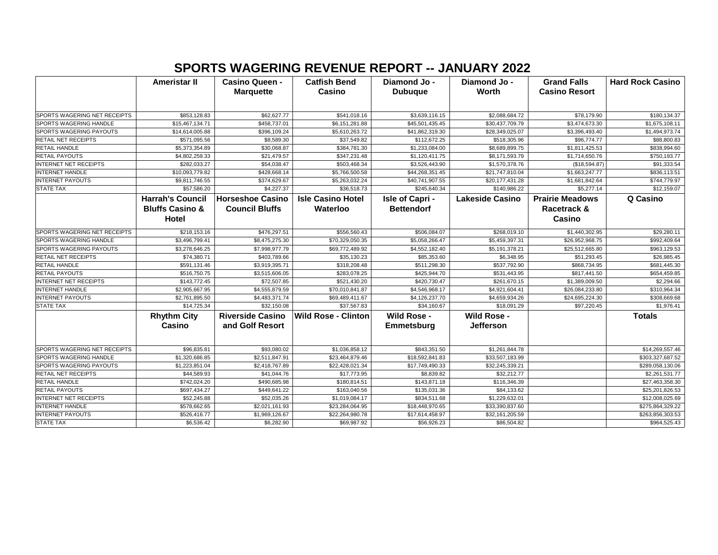## **SPORTS WAGERING REVENUE REPORT -- JANUARY 2022**

|                                     | Ameristar II               | <b>Casino Queen -</b>   | <b>Catfish Bend</b>        | Diamond Jo -       | Diamond Jo -           | <b>Grand Falls</b>     | <b>Hard Rock Casino</b> |
|-------------------------------------|----------------------------|-------------------------|----------------------------|--------------------|------------------------|------------------------|-------------------------|
|                                     |                            | <b>Marquette</b>        | Casino                     | <b>Dubuque</b>     | Worth                  | <b>Casino Resort</b>   |                         |
|                                     |                            |                         |                            |                    |                        |                        |                         |
| SPORTS WAGERING NET RECEIPTS        | \$853,128.83               | \$62,627.77             | \$541,018.16               | \$3,639,116.15     | \$2,088,684.72         | \$78,179.90            | \$180,134.37            |
| SPORTS WAGERING HANDLE              | \$15,467,134.71            | \$458,737.01            | \$6,151,281.88             | \$45,501,435.45    | \$30,437,709.79        | \$3,474,673.30         | \$1,675,108.11          |
| SPORTS WAGERING PAYOUTS             | \$14,614,005.88            | \$396,109.24            | \$5,610,263.72             | \$41,862,319.30    | \$28,349,025.07        | \$3,396,493.40         | \$1,494,973.74          |
| <b>RETAIL NET RECEIPTS</b>          | \$571,095.56               | \$8,589.30              | \$37,549.82                | \$112,672.25       | \$518,305.96           | \$96,774.77            | \$88,800.83             |
| RETAIL HANDLE                       | \$5,373,354.89             | \$30,068.87             | \$384,781.30               | \$1,233,084.00     | \$8,689,899.75         | \$1,811,425.53         | \$838,994.60            |
| RETAIL PAYOUTS                      | \$4,802,259.33             | \$21,479.57             | \$347,231.48               | \$1,120,411.75     | \$8,171,593.79         | \$1,714,650.76         | \$750,193.77            |
| INTERNET NET RECEIPTS               | \$282,033.27               | \$54,038.47             | \$503,468.34               | \$3,526,443.90     | \$1,570,378.76         | (\$18,594.87)          | \$91,333.54             |
| <b>INTERNET HANDLE</b>              | \$10,093,779.82            | \$428,668.14            | \$5,766,500.58             | \$44,268,351.45    | \$21,747,810.04        | \$1,663,247.77         | \$836,113.51            |
| <b>INTERNET PAYOUTS</b>             | \$9,811,746.55             | \$374,629.67            | \$5,263,032.24             | \$40,741,907.55    | \$20,177,431.28        | \$1,681,842.64         | \$744,779.97            |
| <b>STATE TAX</b>                    | \$57,586.20                | \$4,227.37              | \$36,518.73                | \$245,640.34       | \$140,986.22           | \$5,277.14             | \$12,159.07             |
|                                     | <b>Harrah's Council</b>    | <b>Horseshoe Casino</b> | <b>Isle Casino Hotel</b>   | Isle of Capri -    | <b>Lakeside Casino</b> | <b>Prairie Meadows</b> | Q Casino                |
|                                     | <b>Bluffs Casino &amp;</b> | <b>Council Bluffs</b>   | Waterloo                   | <b>Bettendorf</b>  |                        | Racetrack &            |                         |
|                                     | Hotel                      |                         |                            |                    |                        | Casino                 |                         |
| <b>SPORTS WAGERING NET RECEIPTS</b> | \$218,153.16               | \$476,297.51            | \$556,560.43               | \$506,084.07       | \$268,019.10           | \$1,440,302.95         | \$29,280.11             |
| SPORTS WAGERING HANDLE              | \$3,496,799.41             | \$8,475,275.30          | \$70,329,050.35            | \$5,058,266.47     | \$5,459,397.31         | \$26,952,968.75        | \$992,409.64            |
| SPORTS WAGERING PAYOUTS             | \$3,278,646.25             | \$7,998,977.79          | \$69,772,489.92            | \$4,552,182.40     | \$5,191,378.21         | \$25,512,665.80        | \$963,129.53            |
| <b>RETAIL NET RECEIPTS</b>          | \$74,380.71                | \$403,789.66            | \$35,130.23                | \$85,353.60        | \$6,348.95             | \$51,293.45            | \$26,985.45             |
| <b>RETAIL HANDLE</b>                | \$591,131.46               | \$3,919,395.71          | \$318,208.48               | \$511,298.30       | \$537,792.90           | \$868,734.95           | \$681,445.30            |
| RETAIL PAYOUTS                      | \$516,750.75               | \$3,515,606.05          | \$283,078.25               | \$425,944.70       | \$531,443.95           | \$817,441.50           | \$654,459.85            |
| <b>INTERNET NET RECEIPTS</b>        | \$143,772.45               | \$72,507.85             | \$521,430.20               | \$420,730.47       | \$261,670.15           | \$1,389,009.50         | \$2,294.66              |
| <b>INTERNET HANDLE</b>              | \$2,905,667.95             | \$4,555,879.59          | \$70,010,841.87            | \$4,546,968.17     | \$4,921,604.41         | \$26,084,233.80        | \$310,964.34            |
| <b>INTERNET PAYOUTS</b>             | \$2,761,895.50             | \$4,483,371.74          | \$69,489,411.67            | \$4,126,237.70     | \$4,659,934.26         | \$24,695,224.30        | \$308,669.68            |
| <b>STATE TAX</b>                    | \$14,725.34                | \$32,150.08             | \$37,567.83                | \$34,160.67        | \$18,091.29            | \$97,220.45            | \$1,976.41              |
|                                     | <b>Rhythm City</b>         | <b>Riverside Casino</b> | <b>Wild Rose - Clinton</b> | <b>Wild Rose -</b> | <b>Wild Rose -</b>     |                        | <b>Totals</b>           |
|                                     | Casino                     | and Golf Resort         |                            | Emmetsburg         | <b>Jefferson</b>       |                        |                         |
|                                     |                            |                         |                            |                    |                        |                        |                         |
| SPORTS WAGERING NET RECEIPTS        | \$96,835.81                | \$93,080.02             | \$1,036,858.12             | \$843,351.50       | \$1,261,844.78         |                        | \$14,269,557.46         |
| SPORTS WAGERING HANDLE              | \$1,320,686.85             | \$2,511,847.91          | \$23,464,879.46            | \$18,592,841.83    | \$33,507,183.99        |                        | \$303,327,687.52        |
| <b>SPORTS WAGERING PAYOUTS</b>      | \$1,223,851.04             | \$2,418,767.89          | \$22,428,021.34            | \$17,749,490.33    | \$32,245,339.21        |                        | \$289,058,130.06        |
| RETAIL NET RECEIPTS                 | \$44,589.93                | \$41,044.76             | \$17,773.95                | \$8,839.82         | \$32,212.77            |                        | \$2,261,531.77          |
| RETAIL HANDLE                       | \$742,024.20               | \$490,685.98            | \$180,814.51               | \$143,871.18       | \$116,346.39           |                        | \$27,463,358.30         |
| <b>RETAIL PAYOUTS</b>               | \$697,434.27               | \$449,641.22            | \$163,040.56               | \$135,031.36       | \$84,133.62            |                        | \$25,201,826.53         |
| <b>INTERNET NET RECEIPTS</b>        | \$52,245.88                | \$52,035.26             | \$1,019,084.17             | \$834,511.68       | \$1,229,632.01         |                        | \$12,008,025.69         |
| <b>INTERNET HANDLE</b>              | \$578,662.65               | \$2,021,161.93          | \$23,284,064.95            | \$18,448,970.65    | \$33,390,837.60        |                        | \$275,864,329.22        |
| <b>INTERNET PAYOUTS</b>             | \$526,416.77               | \$1,969,126.67          | \$22,264,980.78            | \$17,614,458.97    | \$32,161,205.59        |                        | \$263,856,303.53        |
| <b>STATE TAX</b>                    | \$6,536.42                 | \$6,282.90              | \$69,987.92                | \$56,926.23        | \$86,504.82            |                        | \$964,525.43            |